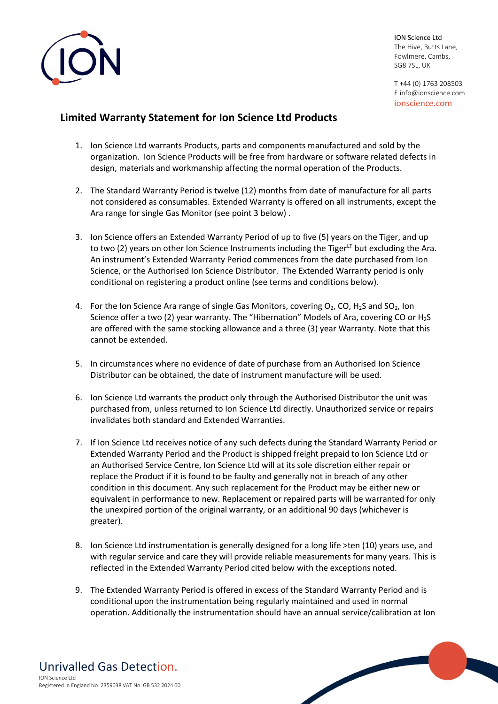

T +44 (0) 1763 208503 E info@ionscience.com ionscience.com

## **Limited Warranty Statement for Ion Science Ltd Products**

- 1. Ion Science Ltd warrants Products, parts and components manufactured and sold by the organization. Ion Science Products will be free from hardware or software related defects in design, materials and workmanship affecting the normal operation of the Products.
- 2. The Standard Warranty Period is twelve (12) months from date of manufacture for all parts not considered as consumables. Extended Warranty is offered on all instruments, except the Ara range for single Gas Monitor (see point 3 below) .
- 3. Ion Science offers an Extended Warranty Period of up to five (5) years on the Tiger, and up to two (2) years on other Ion Science Instruments including the Tiger $L<sup>T</sup>$  but excluding the Ara. An instrument's Extended Warranty Period commences from the date purchased from Ion Science, or the Authorised Ion Science Distributor. The Extended Warranty period is only conditional on registering a product online (see terms and conditions below).
- 4. For the Ion Science Ara range of single Gas Monitors, covering  $O_2$ , CO, H<sub>2</sub>S and SO<sub>2</sub>, Ion Science offer a two (2) year warranty. The "Hibernation" Models of Ara, covering CO or H2S are offered with the same stocking allowance and a three (3) year Warranty. Note that this cannot be extended.
- 5. In circumstances where no evidence of date of purchase from an Authorised Ion Science Distributor can be obtained, the date of instrument manufacture will be used.
- 6. Ion Science Ltd warrants the product only through the Authorised Distributor the unit was purchased from, unless returned to Ion Science Ltd directly. Unauthorized service or repairs invalidates both standard and Extended Warranties.
- 7. If Ion Science Ltd receives notice of any such defects during the Standard Warranty Period or Extended Warranty Period and the Product is shipped freight prepaid to Ion Science Ltd or an Authorised Service Centre, Ion Science Ltd will at its sole discretion either repair or replace the Product if it is found to be faulty and generally not in breach of any other condition in this document. Any such replacement for the Product may be either new or equivalent in performance to new. Replacement or repaired parts will be warranted for only the unexpired portion of the original warranty, or an additional 90 days (whichever is greater).
- 8. Ion Science Ltd instrumentation is generally designed for a long life >ten (10) years use, and with regular service and care they will provide reliable measurements for many years. This is reflected in the Extended Warranty Period cited below with the exceptions noted.
- 9. The Extended Warranty Period is offered in excess of the Standard Warranty Period and is conditional upon the instrumentation being regularly maintained and used in normal operation. Additionally the instrumentation should have an annual service/calibration at Ion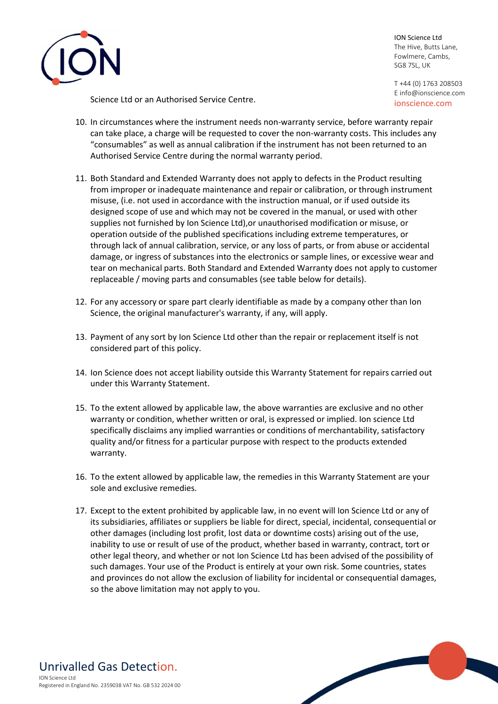

T +44 (0) 1763 208503 E info@ionscience.com ionscience.com

Science Ltd or an Authorised Service Centre.

- 10. In circumstances where the instrument needs non-warranty service, before warranty repair can take place, a charge will be requested to cover the non-warranty costs. This includes any "consumables" as well as annual calibration if the instrument has not been returned to an Authorised Service Centre during the normal warranty period.
- 11. Both Standard and Extended Warranty does not apply to defects in the Product resulting from improper or inadequate maintenance and repair or calibration, or through instrument misuse, (i.e. not used in accordance with the instruction manual, or if used outside its designed scope of use and which may not be covered in the manual, or used with other supplies not furnished by Ion Science Ltd),or unauthorised modification or misuse, or operation outside of the published specifications including extreme temperatures, or through lack of annual calibration, service, or any loss of parts, or from abuse or accidental damage, or ingress of substances into the electronics or sample lines, or excessive wear and tear on mechanical parts. Both Standard and Extended Warranty does not apply to customer replaceable / moving parts and consumables (see table below for details).
- 12. For any accessory or spare part clearly identifiable as made by a company other than Ion Science, the original manufacturer's warranty, if any, will apply.
- 13. Payment of any sort by Ion Science Ltd other than the repair or replacement itself is not considered part of this policy.
- 14. Ion Science does not accept liability outside this Warranty Statement for repairs carried out under this Warranty Statement.
- 15. To the extent allowed by applicable law, the above warranties are exclusive and no other warranty or condition, whether written or oral, is expressed or implied. Ion science Ltd specifically disclaims any implied warranties or conditions of merchantability, satisfactory quality and/or fitness for a particular purpose with respect to the products extended warranty.
- 16. To the extent allowed by applicable law, the remedies in this Warranty Statement are your sole and exclusive remedies.
- 17. Except to the extent prohibited by applicable law, in no event will Ion Science Ltd or any of its subsidiaries, affiliates or suppliers be liable for direct, special, incidental, consequential or other damages (including lost profit, lost data or downtime costs) arising out of the use, inability to use or result of use of the product, whether based in warranty, contract, tort or other legal theory, and whether or not Ion Science Ltd has been advised of the possibility of such damages. Your use of the Product is entirely at your own risk. Some countries, states and provinces do not allow the exclusion of liability for incidental or consequential damages, so the above limitation may not apply to you.

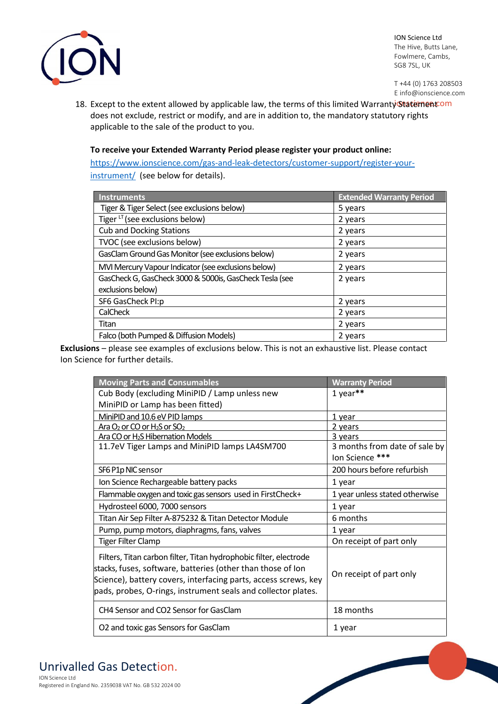

T +44 (0) 1763 208503 E info@ionscience.com

18. Except to the extent allowed by applicable law, the terms of this limited Warranty Statement Com does not exclude, restrict or modify, and are in addition to, the mandatory statutory rights applicable to the sale of the product to you.

## **To receive your Extended Warranty Period please register your product online:**

[https://www.ionscience.com/gas-and-leak-detectors/customer-support/register-your](https://www.ionscience.com/gas-and-leak-detectors/customer-support/register-your-instrument/)[instrument/](https://www.ionscience.com/gas-and-leak-detectors/customer-support/register-your-instrument/) (see below for details).

| Instruments                                             | <b>Extended Warranty Period</b> |
|---------------------------------------------------------|---------------------------------|
| Tiger & Tiger Select (see exclusions below)             | 5 years                         |
| Tiger LT (see exclusions below)                         | 2 years                         |
| <b>Cub and Docking Stations</b>                         | 2 years                         |
| TVOC (see exclusions below)                             | 2 years                         |
| GasClam Ground Gas Monitor (see exclusions below)       | 2 years                         |
| MVI Mercury Vapour Indicator (see exclusions below)     | 2 years                         |
| GasCheck G, GasCheck 3000 & 5000is, GasCheck Tesla (see | 2 years                         |
| exclusions below)                                       |                                 |
| SF6 GasCheck PI:p                                       | 2 years                         |
| CalCheck                                                | 2 years                         |
| Titan                                                   | 2 years                         |
| Falco (both Pumped & Diffusion Models)                  | 2 years                         |

**Exclusions** – please see examples of exclusions below. This is not an exhaustive list. Please contact Ion Science for further details.

| <b>Moving Parts and Consumables</b>                                                                                                                                                                                                                                  | <b>Warranty Period</b>         |
|----------------------------------------------------------------------------------------------------------------------------------------------------------------------------------------------------------------------------------------------------------------------|--------------------------------|
| Cub Body (excluding MiniPID / Lamp unless new                                                                                                                                                                                                                        | 1 year**                       |
| MiniPID or Lamp has been fitted)                                                                                                                                                                                                                                     |                                |
| MiniPID and 10.6 eV PID lamps                                                                                                                                                                                                                                        | 1 year                         |
| Ara $O_2$ or CO or H <sub>2</sub> S or SO <sub>2</sub>                                                                                                                                                                                                               | 2 years                        |
| Ara CO or H <sub>2</sub> S Hibernation Models                                                                                                                                                                                                                        | 3 years                        |
| 11.7eV Tiger Lamps and MiniPID lamps LA4SM700                                                                                                                                                                                                                        | 3 months from date of sale by  |
|                                                                                                                                                                                                                                                                      | lon Science ***                |
| SF6 P1p NIC sensor                                                                                                                                                                                                                                                   | 200 hours before refurbish     |
| Ion Science Rechargeable battery packs                                                                                                                                                                                                                               | 1 year                         |
| Flammable oxygen and toxic gas sensors used in FirstCheck+                                                                                                                                                                                                           | 1 year unless stated otherwise |
| Hydrosteel 6000, 7000 sensors                                                                                                                                                                                                                                        | 1 year                         |
| Titan Air Sep Filter A-875232 & Titan Detector Module                                                                                                                                                                                                                | 6 months                       |
| Pump, pump motors, diaphragms, fans, valves                                                                                                                                                                                                                          | 1 year                         |
| <b>Tiger Filter Clamp</b>                                                                                                                                                                                                                                            | On receipt of part only        |
| Filters, Titan carbon filter, Titan hydrophobic filter, electrode<br>stacks, fuses, software, batteries (other than those of lon<br>Science), battery covers, interfacing parts, access screws, key<br>pads, probes, O-rings, instrument seals and collector plates. | On receipt of part only        |
| CH4 Sensor and CO2 Sensor for GasClam                                                                                                                                                                                                                                | 18 months                      |
| O2 and toxic gas Sensors for GasClam                                                                                                                                                                                                                                 | 1 year                         |

## Unrivalled Gas Detection.